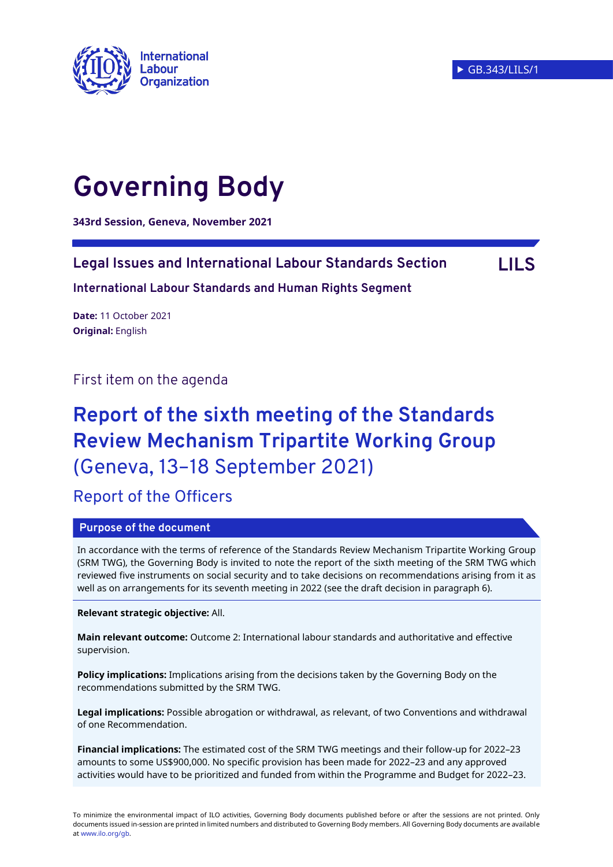

# **Governing Body**

**343rd Session, Geneva, November 2021**

## **Legal Issues and International Labour Standards Section LILS**

**International Labour Standards and Human Rights Segment**

**Date:** 11 October 2021 **Original:** English

First item on the agenda

## **Report of the sixth meeting of the Standards Review Mechanism Tripartite Working Group**  (Geneva, 13–18 September 2021)

Report of the Officers

#### **Purpose of the document**

In accordance with the terms of reference of the Standards Review Mechanism Tripartite Working Group (SRM TWG), the Governing Body is invited to note the report of the sixth meeting of the SRM TWG which reviewed five instruments on social security and to take decisions on recommendations arising from it as well as on arrangements for its seventh meeting in 2022 (see the draft decision in paragraph 6).

**Relevant strategic objective:** All.

**Main relevant outcome:** Outcome 2: International labour standards and authoritative and effective supervision.

**Policy implications:** Implications arising from the decisions taken by the Governing Body on the recommendations submitted by the SRM TWG.

**Legal implications:** Possible abrogation or withdrawal, as relevant, of two Conventions and withdrawal of one Recommendation.

**Financial implications:** The estimated cost of the SRM TWG meetings and their follow-up for 2022–23 amounts to some US\$900,000. No specific provision has been made for 2022–23 and any approved activities would have to be prioritized and funded from within the Programme and Budget for 2022–23.

To minimize the environmental impact of ILO activities, Governing Body documents published before or after the sessions are not printed. Only documents issued in-session are printed in limited numbers and distributed to Governing Body members. All Governing Body documents are available a[t www.ilo.org/gb.](http://www.ilo.org/gb)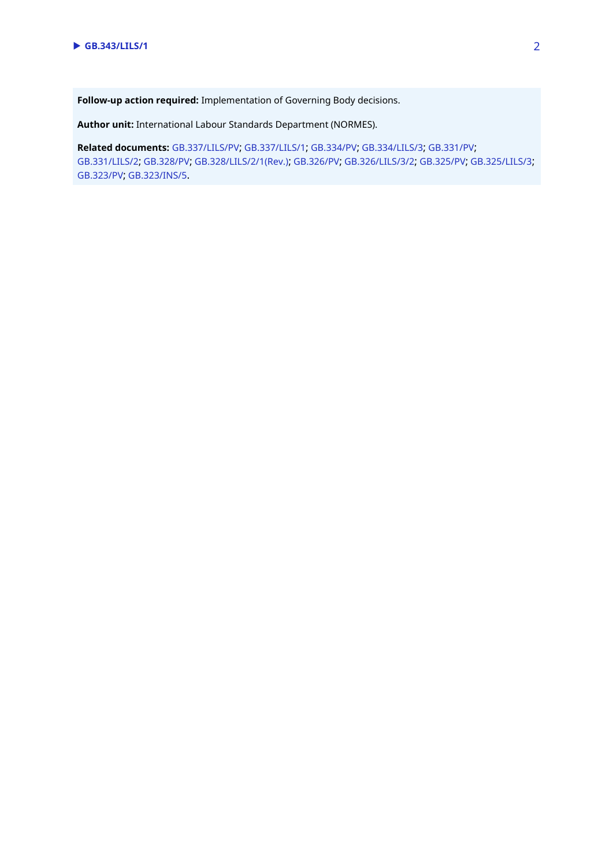**Follow-up action required:** Implementation of Governing Body decisions.

**Author unit:** International Labour Standards Department (NORMES).

**Related documents:** [GB.337/LILS/PV](https://www.ilo.org/wcmsp5/groups/public/---ed_norm/---relconf/documents/meetingdocument/wcms_729466.pdf); [GB.337/LILS/1](https://www.ilo.org/wcmsp5/groups/public/---ed_norm/---relconf/documents/meetingdocument/wcms_725135.pdf); [GB.334/PV](https://www.ilo.org/wcmsp5/groups/public/---ed_norm/---relconf/documents/meetingdocument/wcms_677387.pdf); [GB.334/LILS/3](https://www.ilo.org/wcmsp5/groups/public/---ed_norm/---relconf/documents/meetingdocument/wcms_648422.pdf); [GB.331/PV](https://www.ilo.org/wcmsp5/groups/public/---ed_norm/---relconf/documents/meetingdocument/wcms_616103.pdf); [GB.331/LILS/2](https://www.ilo.org/wcmsp5/groups/public/---ed_norm/---relconf/documents/meetingdocument/wcms_587514.pdf); [GB.328/PV](https://www.ilo.org/wcmsp5/groups/public/---ed_norm/---relconf/documents/meetingdocument/wcms_543114.pdf); [GB.328/LILS/2/1\(Rev.\)](https://www.ilo.org/wcmsp5/groups/public/---ed_norm/---relconf/documents/meetingdocument/wcms_534130.pdf); [GB.326/PV](https://www.ilo.org/wcmsp5/groups/public/---ed_norm/---relconf/documents/meetingdocument/wcms_484933.pdf); [GB.326/LILS/3/2](https://www.ilo.org/wcmsp5/groups/public/---ed_norm/---relconf/documents/meetingdocument/wcms_459156.pdf); [GB.325/PV](https://www.ilo.org/wcmsp5/groups/public/---ed_norm/---relconf/documents/meetingdocument/wcms_450050.pdf); [GB.325/LILS/3](https://www.ilo.org/wcmsp5/groups/public/---ed_norm/---relconf/documents/meetingdocument/wcms_420260.pdf); [GB.323/PV](https://www.ilo.org/wcmsp5/groups/public/---ed_norm/---relconf/documents/meetingdocument/wcms_370572.pdf); [GB.323/INS/5](https://www.ilo.org/wcmsp5/groups/public/---ed_norm/---relconf/documents/meetingdocument/wcms_351475.pdf).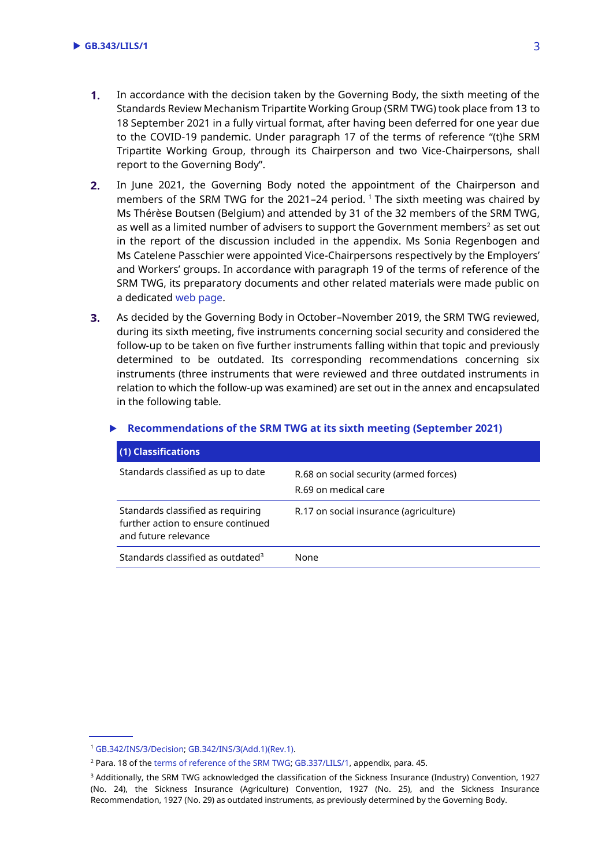- $1.$ In accordance with the decision taken by the Governing Body, the sixth meeting of the Standards Review Mechanism Tripartite Working Group (SRM TWG) took place from 13 to 18 September 2021 in a fully virtual format, after having been deferred for one year due to the COVID-19 pandemic. Under paragraph 17 of the terms of reference "(t)he SRM Tripartite Working Group, through its Chairperson and two Vice-Chairpersons, shall report to the Governing Body".
- $2.$ In June 2021, the Governing Body noted the appointment of the Chairperson and members of the SRM TWG for the 2021–24 period. <sup>1</sup> The sixth meeting was chaired by Ms Thérèse Boutsen (Belgium) and attended by 31 of the 32 members of the SRM TWG, as well as a limited number of advisers to support the Government members<sup>2</sup> as set out in the report of the discussion included in the appendix. Ms Sonia Regenbogen and Ms Catelene Passchier were appointed Vice-Chairpersons respectively by the Employers' and Workers' groups. In accordance with paragraph 19 of the terms of reference of the SRM TWG, its preparatory documents and other related materials were made public on a dedicated [web page.](https://www.ilo.org/global/standards/international-labour-standards-policy/WCMS_742423/lang--en/index.htm)
- $3.$ As decided by the Governing Body in October–November 2019, the SRM TWG reviewed, during its sixth meeting, five instruments concerning social security and considered the follow-up to be taken on five further instruments falling within that topic and previously determined to be outdated. Its corresponding recommendations concerning six instruments (three instruments that were reviewed and three outdated instruments in relation to which the follow-up was examined) are set out in the annex and encapsulated in the following table.

| (1) Classifications                                                                             |                                                                |
|-------------------------------------------------------------------------------------------------|----------------------------------------------------------------|
| Standards classified as up to date                                                              | R.68 on social security (armed forces)<br>R.69 on medical care |
| Standards classified as requiring<br>further action to ensure continued<br>and future relevance | R.17 on social insurance (agriculture)                         |
| Standards classified as outdated <sup>3</sup>                                                   | None                                                           |

#### **Recommendations of the SRM TWG at its sixth meeting (September 2021)**

<sup>1</sup> [GB.342/INS/3/Decision;](https://www.ilo.org/gb/GBSessions/GB342/ins/WCMS_807549/lang--en/index.htm) [GB.342/INS/3\(Add.1\)\(Rev.1\).](https://www.ilo.org/wcmsp5/groups/public/---ed_norm/---relconf/documents/meetingdocument/wcms_807338.pdf)

<sup>2</sup> Para. 18 of th[e terms of reference of the SRM TWG;](http://www.ilo.org/wcmsp5/groups/public/---ed_norm/---normes/documents/genericdocument/wcms_450466.pdf) [GB.337/LILS/1,](https://www.ilo.org/wcmsp5/groups/public/---ed_norm/---relconf/documents/meetingdocument/wcms_725135.pdf) appendix, para. 45.

<sup>&</sup>lt;sup>3</sup> Additionally, the SRM TWG acknowledged the classification of the Sickness Insurance (Industry) Convention, 1927 (No. 24), the Sickness Insurance (Agriculture) Convention, 1927 (No. 25), and the Sickness Insurance Recommendation, 1927 (No. 29) as outdated instruments, as previously determined by the Governing Body.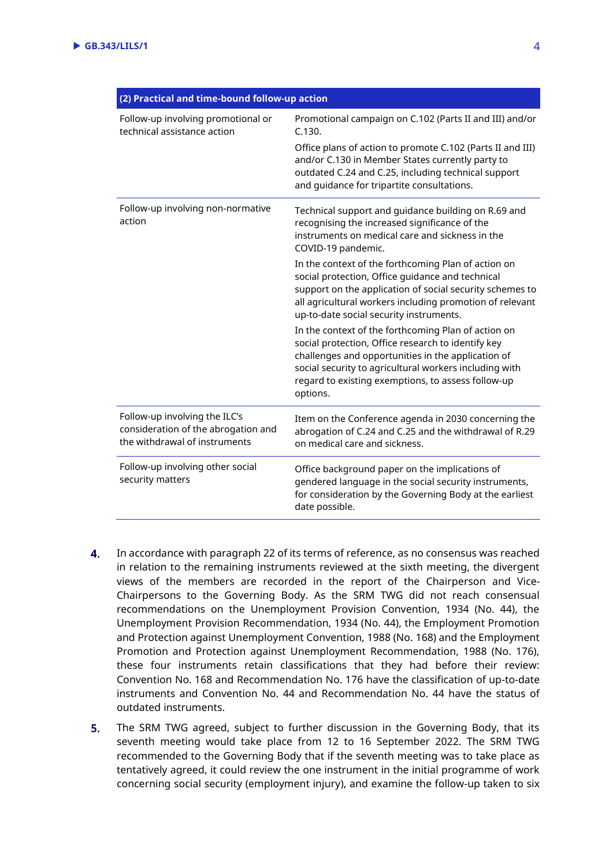| (2) Practical and time-bound follow-up action                                                         |                                                                                                                                                                                                                                                                                             |
|-------------------------------------------------------------------------------------------------------|---------------------------------------------------------------------------------------------------------------------------------------------------------------------------------------------------------------------------------------------------------------------------------------------|
| Follow-up involving promotional or<br>technical assistance action                                     | Promotional campaign on C.102 (Parts II and III) and/or<br>C.130.<br>Office plans of action to promote C.102 (Parts II and III)<br>and/or C.130 in Member States currently party to<br>outdated C.24 and C.25, including technical support<br>and guidance for tripartite consultations.    |
| Follow-up involving non-normative<br>action                                                           | Technical support and guidance building on R.69 and<br>recognising the increased significance of the<br>instruments on medical care and sickness in the<br>COVID-19 pandemic.                                                                                                               |
|                                                                                                       | In the context of the forthcoming Plan of action on<br>social protection, Office guidance and technical<br>support on the application of social security schemes to<br>all agricultural workers including promotion of relevant<br>up-to-date social security instruments.                  |
|                                                                                                       | In the context of the forthcoming Plan of action on<br>social protection, Office research to identify key<br>challenges and opportunities in the application of<br>social security to agricultural workers including with<br>regard to existing exemptions, to assess follow-up<br>options. |
| Follow-up involving the ILC's<br>consideration of the abrogation and<br>the withdrawal of instruments | Item on the Conference agenda in 2030 concerning the<br>abrogation of C.24 and C.25 and the withdrawal of R.29<br>on medical care and sickness.                                                                                                                                             |
| Follow-up involving other social<br>security matters                                                  | Office background paper on the implications of<br>gendered language in the social security instruments,<br>for consideration by the Governing Body at the earliest<br>date possible.                                                                                                        |

- 4. In accordance with paragraph 22 of its terms of reference, as no consensus was reached in relation to the remaining instruments reviewed at the sixth meeting, the divergent views of the members are recorded in the report of the Chairperson and Vice-Chairpersons to the Governing Body. As the SRM TWG did not reach consensual recommendations on the Unemployment Provision Convention, 1934 (No. 44), the Unemployment Provision Recommendation, 1934 (No. 44), the Employment Promotion and Protection against Unemployment Convention, 1988 (No. 168) and the Employment Promotion and Protection against Unemployment Recommendation, 1988 (No. 176), these four instruments retain classifications that they had before their review: Convention No. 168 and Recommendation No. 176 have the classification of up-to-date instruments and Convention No. 44 and Recommendation No. 44 have the status of outdated instruments.
- $5.$ The SRM TWG agreed, subject to further discussion in the Governing Body, that its seventh meeting would take place from 12 to 16 September 2022. The SRM TWG recommended to the Governing Body that if the seventh meeting was to take place as tentatively agreed, it could review the one instrument in the initial programme of work concerning social security (employment injury), and examine the follow-up taken to six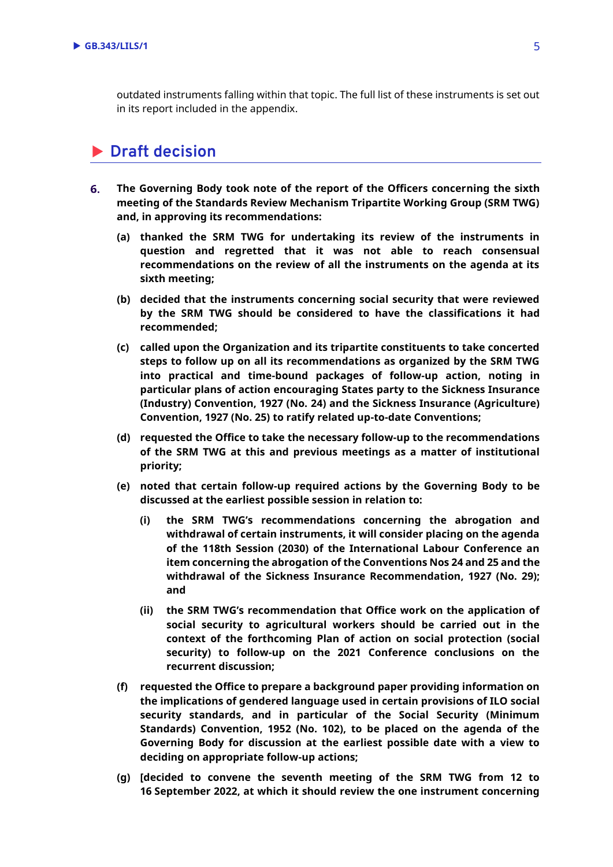outdated instruments falling within that topic. The full list of these instruments is set out in its report included in the appendix.

## **Draft decision**

- **The Governing Body took note of the report of the Officers concerning the sixth**  6. **meeting of the Standards Review Mechanism Tripartite Working Group (SRM TWG) and, in approving its recommendations:** 
	- **(a) thanked the SRM TWG for undertaking its review of the instruments in question and regretted that it was not able to reach consensual recommendations on the review of all the instruments on the agenda at its sixth meeting;**
	- **(b) decided that the instruments concerning social security that were reviewed by the SRM TWG should be considered to have the classifications it had recommended;**
	- **(c) called upon the Organization and its tripartite constituents to take concerted steps to follow up on all its recommendations as organized by the SRM TWG into practical and time-bound packages of follow-up action, noting in particular plans of action encouraging States party to the Sickness Insurance (Industry) Convention, 1927 (No. 24) and the Sickness Insurance (Agriculture) Convention, 1927 (No. 25) to ratify related up-to-date Conventions;**
	- **(d) requested the Office to take the necessary follow-up to the recommendations of the SRM TWG at this and previous meetings as a matter of institutional priority;**
	- **(e) noted that certain follow-up required actions by the Governing Body to be discussed at the earliest possible session in relation to:**
		- **(i) the SRM TWG's recommendations concerning the abrogation and withdrawal of certain instruments, it will consider placing on the agenda of the 118th Session (2030) of the International Labour Conference an item concerning the abrogation of the Conventions Nos 24 and 25 and the withdrawal of the Sickness Insurance Recommendation, 1927 (No. 29); and**
		- **(ii) the SRM TWG's recommendation that Office work on the application of social security to agricultural workers should be carried out in the context of the forthcoming Plan of action on social protection (social security) to follow-up on the 2021 Conference conclusions on the recurrent discussion;**
	- **(f) requested the Office to prepare a background paper providing information on the implications of gendered language used in certain provisions of ILO social security standards, and in particular of the Social Security (Minimum Standards) Convention, 1952 (No. 102), to be placed on the agenda of the Governing Body for discussion at the earliest possible date with a view to deciding on appropriate follow-up actions;**
	- **(g) [decided to convene the seventh meeting of the SRM TWG from 12 to 16 September 2022, at which it should review the one instrument concerning**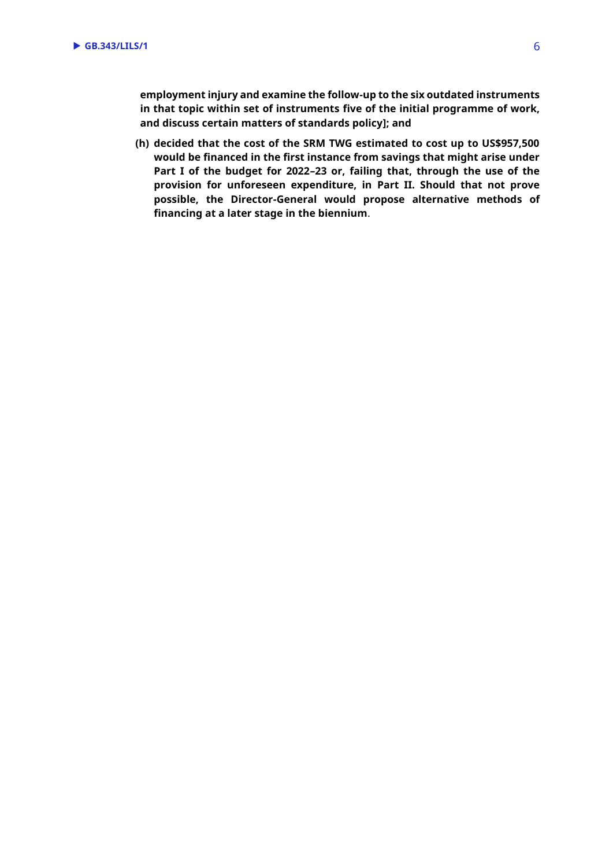**employment injury and examine the follow-up to the six outdated instruments in that topic within set of instruments five of the initial programme of work, and discuss certain matters of standards policy]; and**

**(h) decided that the cost of the SRM TWG estimated to cost up to US\$957,500 would be financed in the first instance from savings that might arise under Part I of the budget for 2022–23 or, failing that, through the use of the provision for unforeseen expenditure, in Part II. Should that not prove possible, the Director-General would propose alternative methods of financing at a later stage in the biennium**.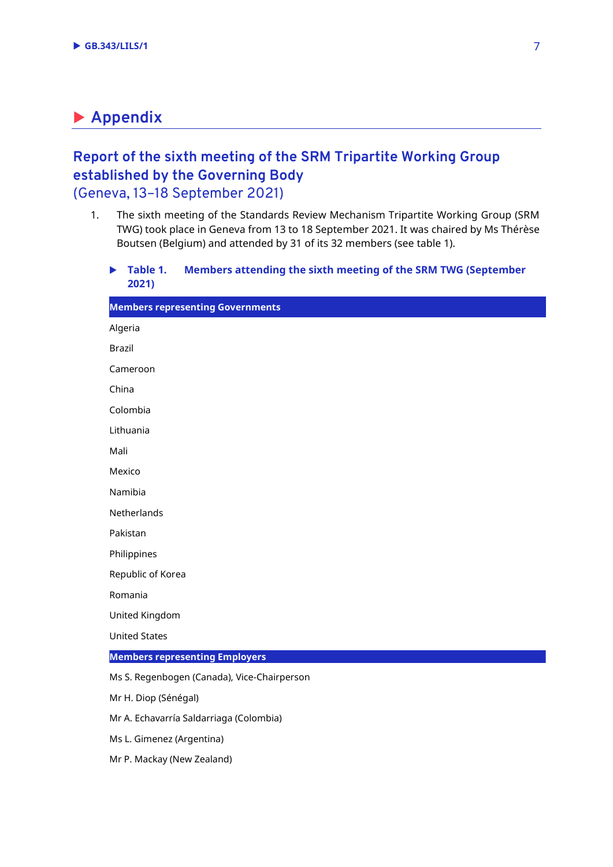## **Appendix**

## **Report of the sixth meeting of the SRM Tripartite Working Group established by the Governing Body** (Geneva, 13–18 September 2021)

- 1. The sixth meeting of the Standards Review Mechanism Tripartite Working Group (SRM TWG) took place in Geneva from 13 to 18 September 2021. It was chaired by Ms Thérèse Boutsen (Belgium) and attended by 31 of its 32 members (see table 1).
	- **Table 1. Members attending the sixth meeting of the SRM TWG (September 2021)**

| <b>Members representing Governments</b>     |
|---------------------------------------------|
| Algeria                                     |
| <b>Brazil</b>                               |
| Cameroon                                    |
| China                                       |
| Colombia                                    |
| Lithuania                                   |
| Mali                                        |
| Mexico                                      |
| Namibia                                     |
| Netherlands                                 |
| Pakistan                                    |
| Philippines                                 |
| Republic of Korea                           |
| Romania                                     |
| United Kingdom                              |
| <b>United States</b>                        |
| <b>Members representing Employers</b>       |
| Ms S. Regenbogen (Canada), Vice-Chairperson |
| Mr H. Diop (Sénégal)                        |
| Mr A. Echavarría Saldarriaga (Colombia)     |
| Ms L. Gimenez (Argentina)                   |

Mr P. Mackay (New Zealand)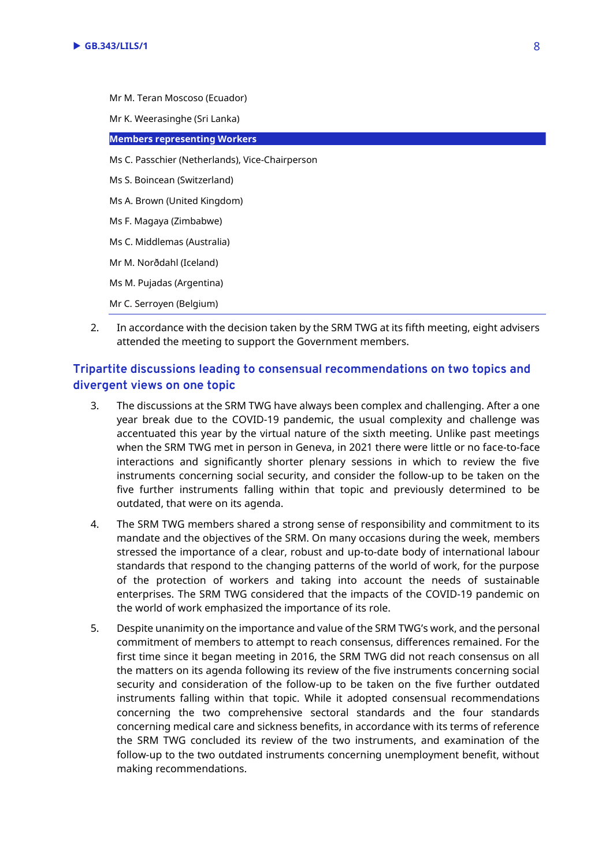- Mr M. Teran Moscoso (Ecuador) Mr K. Weerasinghe (Sri Lanka) **Members representing Workers** Ms C. Passchier (Netherlands), Vice-Chairperson Ms S. Boincean (Switzerland) Ms A. Brown (United Kingdom) Ms F. Magaya (Zimbabwe) Ms C. Middlemas (Australia) Mr M. Norðdahl (Iceland) Ms M. Pujadas (Argentina) Mr C. Serroyen (Belgium)
- 2. In accordance with the decision taken by the SRM TWG at its fifth meeting, eight advisers attended the meeting to support the Government members.

#### **Tripartite discussions leading to consensual recommendations on two topics and divergent views on one topic**

- 3. The discussions at the SRM TWG have always been complex and challenging. After a one year break due to the COVID-19 pandemic, the usual complexity and challenge was accentuated this year by the virtual nature of the sixth meeting. Unlike past meetings when the SRM TWG met in person in Geneva, in 2021 there were little or no face-to-face interactions and significantly shorter plenary sessions in which to review the five instruments concerning social security, and consider the follow-up to be taken on the five further instruments falling within that topic and previously determined to be outdated, that were on its agenda.
- 4. The SRM TWG members shared a strong sense of responsibility and commitment to its mandate and the objectives of the SRM. On many occasions during the week, members stressed the importance of a clear, robust and up-to-date body of international labour standards that respond to the changing patterns of the world of work, for the purpose of the protection of workers and taking into account the needs of sustainable enterprises. The SRM TWG considered that the impacts of the COVID-19 pandemic on the world of work emphasized the importance of its role.
- 5. Despite unanimity on the importance and value of the SRM TWG's work, and the personal commitment of members to attempt to reach consensus, differences remained. For the first time since it began meeting in 2016, the SRM TWG did not reach consensus on all the matters on its agenda following its review of the five instruments concerning social security and consideration of the follow-up to be taken on the five further outdated instruments falling within that topic. While it adopted consensual recommendations concerning the two comprehensive sectoral standards and the four standards concerning medical care and sickness benefits, in accordance with its terms of reference the SRM TWG concluded its review of the two instruments, and examination of the follow-up to the two outdated instruments concerning unemployment benefit, without making recommendations.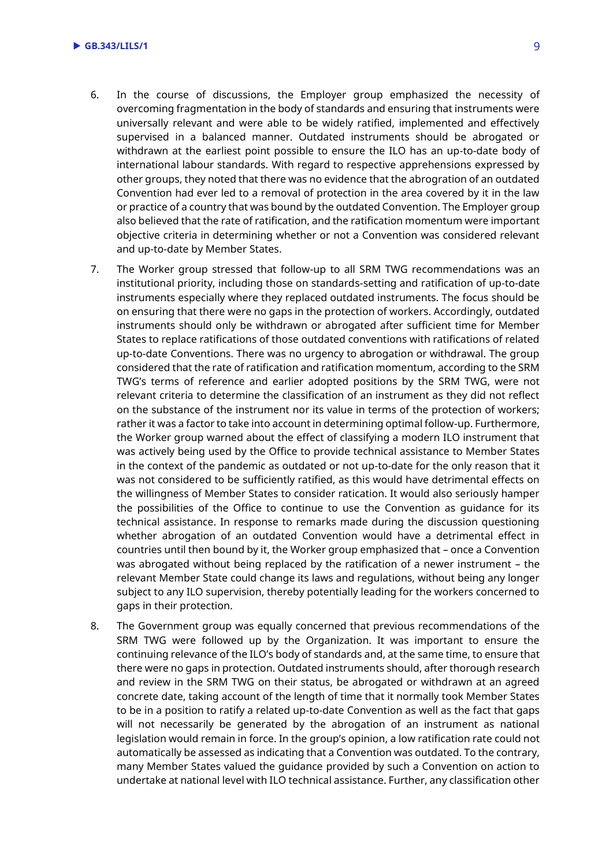- 6. In the course of discussions, the Employer group emphasized the necessity of overcoming fragmentation in the body of standards and ensuring that instruments were universally relevant and were able to be widely ratified, implemented and effectively supervised in a balanced manner. Outdated instruments should be abrogated or withdrawn at the earliest point possible to ensure the ILO has an up-to-date body of international labour standards. With regard to respective apprehensions expressed by other groups, they noted that there was no evidence that the abrogration of an outdated Convention had ever led to a removal of protection in the area covered by it in the law or practice of a country that was bound by the outdated Convention. The Employer group also believed that the rate of ratification, and the ratification momentum were important objective criteria in determining whether or not a Convention was considered relevant and up-to-date by Member States.
- 7. The Worker group stressed that follow-up to all SRM TWG recommendations was an institutional priority, including those on standards-setting and ratification of up-to-date instruments especially where they replaced outdated instruments. The focus should be on ensuring that there were no gaps in the protection of workers. Accordingly, outdated instruments should only be withdrawn or abrogated after sufficient time for Member States to replace ratifications of those outdated conventions with ratifications of related up-to-date Conventions. There was no urgency to abrogation or withdrawal. The group considered that the rate of ratification and ratification momentum, according to the SRM TWG's terms of reference and earlier adopted positions by the SRM TWG, were not relevant criteria to determine the classification of an instrument as they did not reflect on the substance of the instrument nor its value in terms of the protection of workers; rather it was a factor to take into account in determining optimal follow-up. Furthermore, the Worker group warned about the effect of classifying a modern ILO instrument that was actively being used by the Office to provide technical assistance to Member States in the context of the pandemic as outdated or not up-to-date for the only reason that it was not considered to be sufficiently ratified, as this would have detrimental effects on the willingness of Member States to consider ratication. It would also seriously hamper the possibilities of the Office to continue to use the Convention as guidance for its technical assistance. In response to remarks made during the discussion questioning whether abrogation of an outdated Convention would have a detrimental effect in countries until then bound by it, the Worker group emphasized that – once a Convention was abrogated without being replaced by the ratification of a newer instrument – the relevant Member State could change its laws and regulations, without being any longer subject to any ILO supervision, thereby potentially leading for the workers concerned to gaps in their protection.
- 8. The Government group was equally concerned that previous recommendations of the SRM TWG were followed up by the Organization. It was important to ensure the continuing relevance of the ILO's body of standards and, at the same time, to ensure that there were no gaps in protection. Outdated instruments should, after thorough research and review in the SRM TWG on their status, be abrogated or withdrawn at an agreed concrete date, taking account of the length of time that it normally took Member States to be in a position to ratify a related up-to-date Convention as well as the fact that gaps will not necessarily be generated by the abrogation of an instrument as national legislation would remain in force. In the group's opinion, a low ratification rate could not automatically be assessed as indicating that a Convention was outdated. To the contrary, many Member States valued the guidance provided by such a Convention on action to undertake at national level with ILO technical assistance. Further, any classification other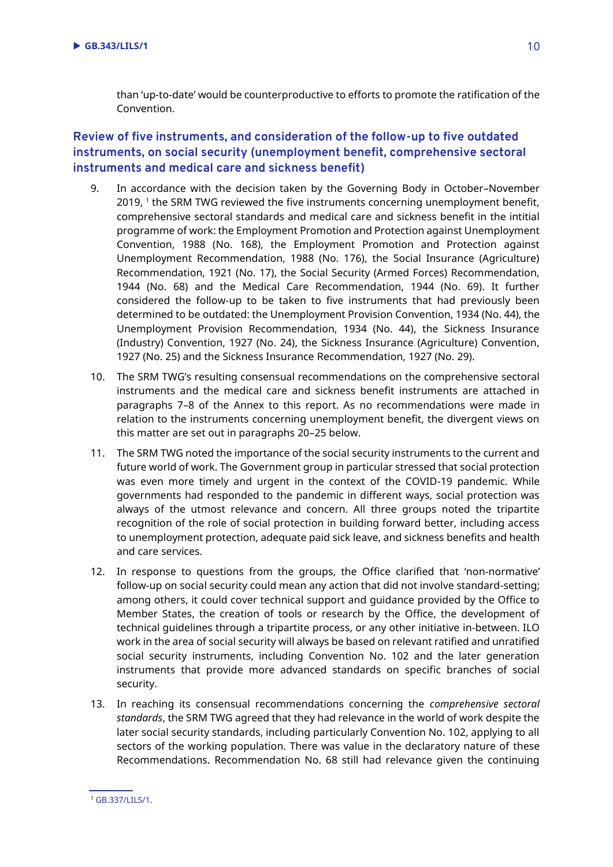than 'up-to-date' would be counterproductive to efforts to promote the ratification of the Convention.

#### **Review of five instruments, and consideration of the follow-up to five outdated instruments, on social security (unemployment benefit, comprehensive sectoral instruments and medical care and sickness benefit)**

- 9. In accordance with the decision taken by the Governing Body in October–November 2019, <sup>1</sup> the SRM TWG reviewed the five instruments concerning unemployment benefit, comprehensive sectoral standards and medical care and sickness benefit in the intitial programme of work: the Employment Promotion and Protection against Unemployment Convention, 1988 (No. 168), the Employment Promotion and Protection against Unemployment Recommendation, 1988 (No. 176), the Social Insurance (Agriculture) Recommendation, 1921 (No. 17), the Social Security (Armed Forces) Recommendation, 1944 (No. 68) and the Medical Care Recommendation, 1944 (No. 69). It further considered the follow-up to be taken to five instruments that had previously been determined to be outdated: the Unemployment Provision Convention, 1934 (No. 44), the Unemployment Provision Recommendation, 1934 (No. 44), the Sickness Insurance (Industry) Convention, 1927 (No. 24), the Sickness Insurance (Agriculture) Convention, 1927 (No. 25) and the Sickness Insurance Recommendation, 1927 (No. 29).
- 10. The SRM TWG's resulting consensual recommendations on the comprehensive sectoral instruments and the medical care and sickness benefit instruments are attached in paragraphs 7–8 of the Annex to this report. As no recommendations were made in relation to the instruments concerning unemployment benefit, the divergent views on this matter are set out in paragraphs 20–25 below.
- 11. The SRM TWG noted the importance of the social security instruments to the current and future world of work. The Government group in particular stressed that social protection was even more timely and urgent in the context of the COVID-19 pandemic. While governments had responded to the pandemic in different ways, social protection was always of the utmost relevance and concern. All three groups noted the tripartite recognition of the role of social protection in building forward better, including access to unemployment protection, adequate paid sick leave, and sickness benefits and health and care services.
- 12. In response to questions from the groups, the Office clarified that 'non-normative' follow-up on social security could mean any action that did not involve standard-setting; among others, it could cover technical support and guidance provided by the Office to Member States, the creation of tools or research by the Office, the development of technical guidelines through a tripartite process, or any other initiative in-between. ILO work in the area of social security will always be based on relevant ratified and unratified social security instruments, including Convention No. 102 and the later generation instruments that provide more advanced standards on specific branches of social security.
- 13. In reaching its consensual recommendations concerning the *comprehensive sectoral standards*, the SRM TWG agreed that they had relevance in the world of work despite the later social security standards, including particularly Convention No. 102, applying to all sectors of the working population. There was value in the declaratory nature of these Recommendations. Recommendation No. 68 still had relevance given the continuing

<sup>1</sup> [GB.337/LILS/1.](https://www.ilo.org/wcmsp5/groups/public/---ed_norm/---relconf/documents/meetingdocument/wcms_725135.pdf)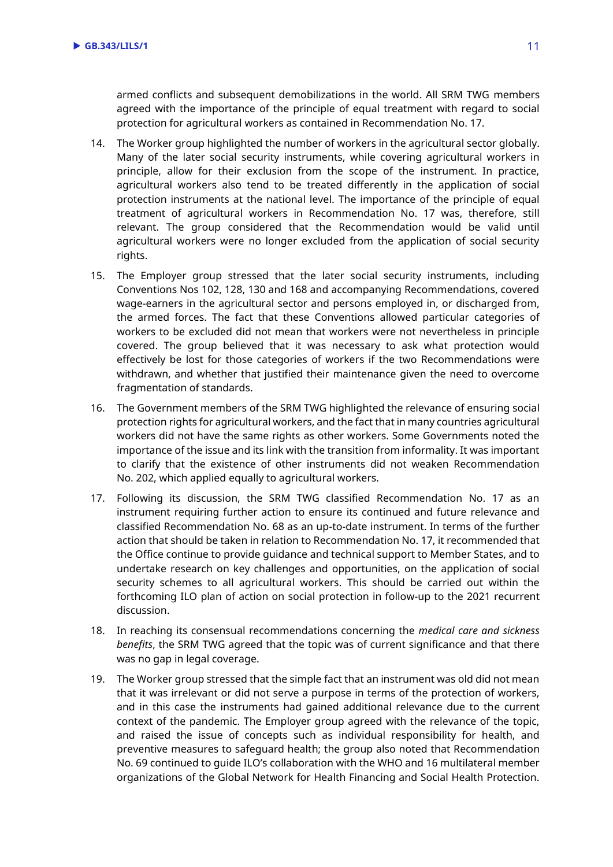armed conflicts and subsequent demobilizations in the world. All SRM TWG members agreed with the importance of the principle of equal treatment with regard to social protection for agricultural workers as contained in Recommendation No. 17.

- 14. The Worker group highlighted the number of workers in the agricultural sector globally. Many of the later social security instruments, while covering agricultural workers in principle, allow for their exclusion from the scope of the instrument. In practice, agricultural workers also tend to be treated differently in the application of social protection instruments at the national level. The importance of the principle of equal treatment of agricultural workers in Recommendation No. 17 was, therefore, still relevant. The group considered that the Recommendation would be valid until agricultural workers were no longer excluded from the application of social security rights.
- 15. The Employer group stressed that the later social security instruments, including Conventions Nos 102, 128, 130 and 168 and accompanying Recommendations, covered wage-earners in the agricultural sector and persons employed in, or discharged from, the armed forces. The fact that these Conventions allowed particular categories of workers to be excluded did not mean that workers were not nevertheless in principle covered. The group believed that it was necessary to ask what protection would effectively be lost for those categories of workers if the two Recommendations were withdrawn, and whether that justified their maintenance given the need to overcome fragmentation of standards.
- 16. The Government members of the SRM TWG highlighted the relevance of ensuring social protection rights for agricultural workers, and the fact that in many countries agricultural workers did not have the same rights as other workers. Some Governments noted the importance of the issue and its link with the transition from informality. It was important to clarify that the existence of other instruments did not weaken Recommendation No. 202, which applied equally to agricultural workers.
- 17. Following its discussion, the SRM TWG classified Recommendation No. 17 as an instrument requiring further action to ensure its continued and future relevance and classified Recommendation No. 68 as an up-to-date instrument. In terms of the further action that should be taken in relation to Recommendation No. 17, it recommended that the Office continue to provide guidance and technical support to Member States, and to undertake research on key challenges and opportunities, on the application of social security schemes to all agricultural workers. This should be carried out within the forthcoming ILO plan of action on social protection in follow-up to the 2021 recurrent discussion.
- 18. In reaching its consensual recommendations concerning the *medical care and sickness benefits*, the SRM TWG agreed that the topic was of current significance and that there was no gap in legal coverage.
- 19. The Worker group stressed that the simple fact that an instrument was old did not mean that it was irrelevant or did not serve a purpose in terms of the protection of workers, and in this case the instruments had gained additional relevance due to the current context of the pandemic. The Employer group agreed with the relevance of the topic, and raised the issue of concepts such as individual responsibility for health, and preventive measures to safeguard health; the group also noted that Recommendation No. 69 continued to guide ILO's collaboration with the WHO and 16 multilateral member organizations of the Global Network for Health Financing and Social Health Protection.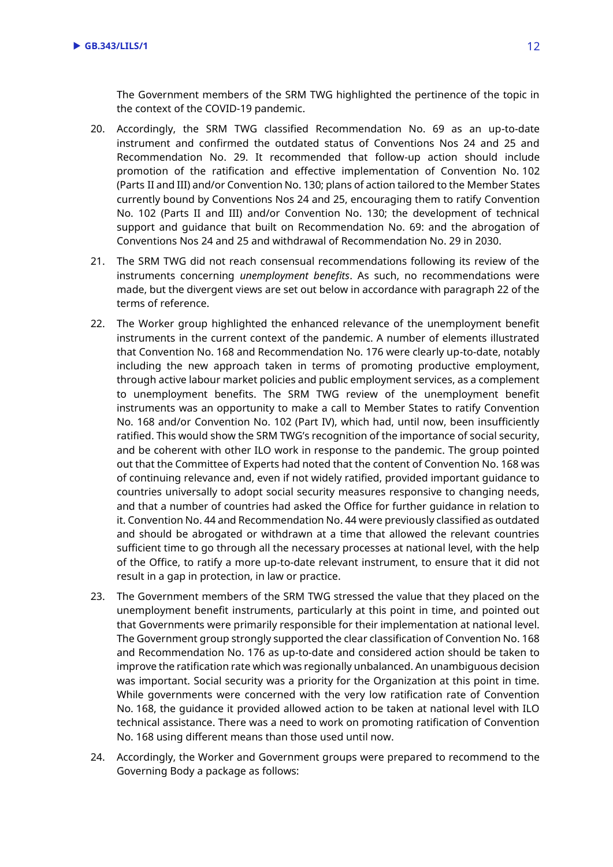The Government members of the SRM TWG highlighted the pertinence of the topic in the context of the COVID-19 pandemic.

- 20. Accordingly, the SRM TWG classified Recommendation No. 69 as an up-to-date instrument and confirmed the outdated status of Conventions Nos 24 and 25 and Recommendation No. 29. It recommended that follow-up action should include promotion of the ratification and effective implementation of Convention No. 102 (Parts II and III) and/or Convention No. 130; plans of action tailored to the Member States currently bound by Conventions Nos 24 and 25, encouraging them to ratify Convention No. 102 (Parts II and III) and/or Convention No. 130; the development of technical support and guidance that built on Recommendation No. 69: and the abrogation of Conventions Nos 24 and 25 and withdrawal of Recommendation No. 29 in 2030.
- 21. The SRM TWG did not reach consensual recommendations following its review of the instruments concerning *unemployment benefits*. As such, no recommendations were made, but the divergent views are set out below in accordance with paragraph 22 of the terms of reference.
- 22. The Worker group highlighted the enhanced relevance of the unemployment benefit instruments in the current context of the pandemic. A number of elements illustrated that Convention No. 168 and Recommendation No. 176 were clearly up-to-date, notably including the new approach taken in terms of promoting productive employment, through active labour market policies and public employment services, as a complement to unemployment benefits. The SRM TWG review of the unemployment benefit instruments was an opportunity to make a call to Member States to ratify Convention No. 168 and/or Convention No. 102 (Part IV), which had, until now, been insufficiently ratified. This would show the SRM TWG's recognition of the importance of social security, and be coherent with other ILO work in response to the pandemic. The group pointed out that the Committee of Experts had noted that the content of Convention No. 168 was of continuing relevance and, even if not widely ratified, provided important guidance to countries universally to adopt social security measures responsive to changing needs, and that a number of countries had asked the Office for further guidance in relation to it. Convention No. 44 and Recommendation No. 44 were previously classified as outdated and should be abrogated or withdrawn at a time that allowed the relevant countries sufficient time to go through all the necessary processes at national level, with the help of the Office, to ratify a more up-to-date relevant instrument, to ensure that it did not result in a gap in protection, in law or practice.
- 23. The Government members of the SRM TWG stressed the value that they placed on the unemployment benefit instruments, particularly at this point in time, and pointed out that Governments were primarily responsible for their implementation at national level. The Government group strongly supported the clear classification of Convention No. 168 and Recommendation No. 176 as up-to-date and considered action should be taken to improve the ratification rate which was regionally unbalanced. An unambiguous decision was important. Social security was a priority for the Organization at this point in time. While governments were concerned with the very low ratification rate of Convention No. 168, the guidance it provided allowed action to be taken at national level with ILO technical assistance. There was a need to work on promoting ratification of Convention No. 168 using different means than those used until now.
- 24. Accordingly, the Worker and Government groups were prepared to recommend to the Governing Body a package as follows: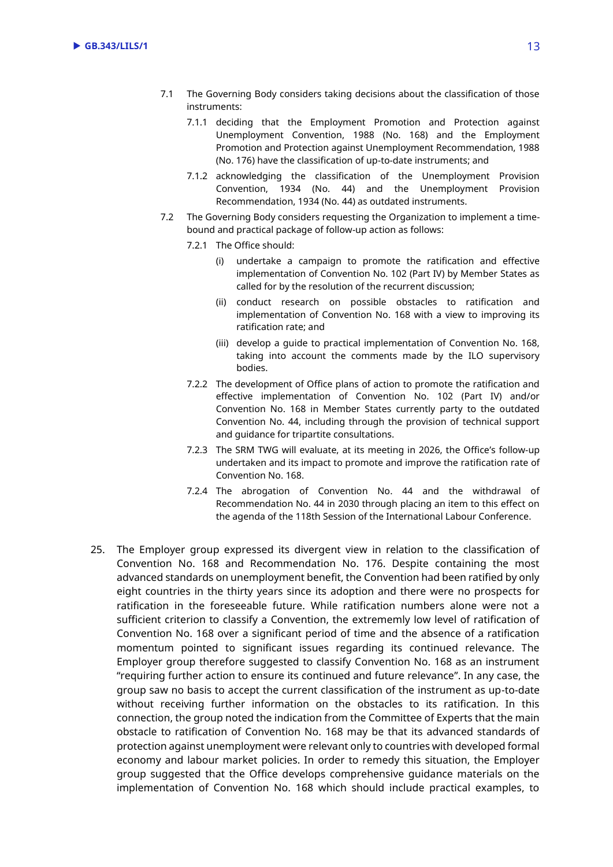- 7.1 The Governing Body considers taking decisions about the classification of those instruments:
	- 7.1.1 deciding that the Employment Promotion and Protection against Unemployment Convention, 1988 (No. 168) and the Employment Promotion and Protection against Unemployment Recommendation, 1988 (No. 176) have the classification of up-to-date instruments; and
	- 7.1.2 acknowledging the classification of the Unemployment Provision Convention, 1934 (No. 44) and the Unemployment Provision Recommendation, 1934 (No. 44) as outdated instruments.
- 7.2 The Governing Body considers requesting the Organization to implement a timebound and practical package of follow-up action as follows:
	- 7.2.1 The Office should:
		- (i) undertake a campaign to promote the ratification and effective implementation of Convention No. 102 (Part IV) by Member States as called for by the resolution of the recurrent discussion;
		- (ii) conduct research on possible obstacles to ratification and implementation of Convention No. 168 with a view to improving its ratification rate; and
		- (iii) develop a guide to practical implementation of Convention No. 168, taking into account the comments made by the ILO supervisory bodies.
	- 7.2.2 The development of Office plans of action to promote the ratification and effective implementation of Convention No. 102 (Part IV) and/or Convention No. 168 in Member States currently party to the outdated Convention No. 44, including through the provision of technical support and guidance for tripartite consultations.
	- 7.2.3 The SRM TWG will evaluate, at its meeting in 2026, the Office's follow-up undertaken and its impact to promote and improve the ratification rate of Convention No. 168.
	- 7.2.4 The abrogation of Convention No. 44 and the withdrawal of Recommendation No. 44 in 2030 through placing an item to this effect on the agenda of the 118th Session of the International Labour Conference.
- 25. The Employer group expressed its divergent view in relation to the classification of Convention No. 168 and Recommendation No. 176. Despite containing the most advanced standards on unemployment benefit, the Convention had been ratified by only eight countries in the thirty years since its adoption and there were no prospects for ratification in the foreseeable future. While ratification numbers alone were not a sufficient criterion to classify a Convention, the extrememly low level of ratification of Convention No. 168 over a significant period of time and the absence of a ratification momentum pointed to significant issues regarding its continued relevance. The Employer group therefore suggested to classify Convention No. 168 as an instrument "requiring further action to ensure its continued and future relevance". In any case, the group saw no basis to accept the current classification of the instrument as up-to-date without receiving further information on the obstacles to its ratification. In this connection, the group noted the indication from the Committee of Experts that the main obstacle to ratification of Convention No. 168 may be that its advanced standards of protection against unemployment were relevant only to countries with developed formal economy and labour market policies. In order to remedy this situation, the Employer group suggested that the Office develops comprehensive guidance materials on the implementation of Convention No. 168 which should include practical examples, to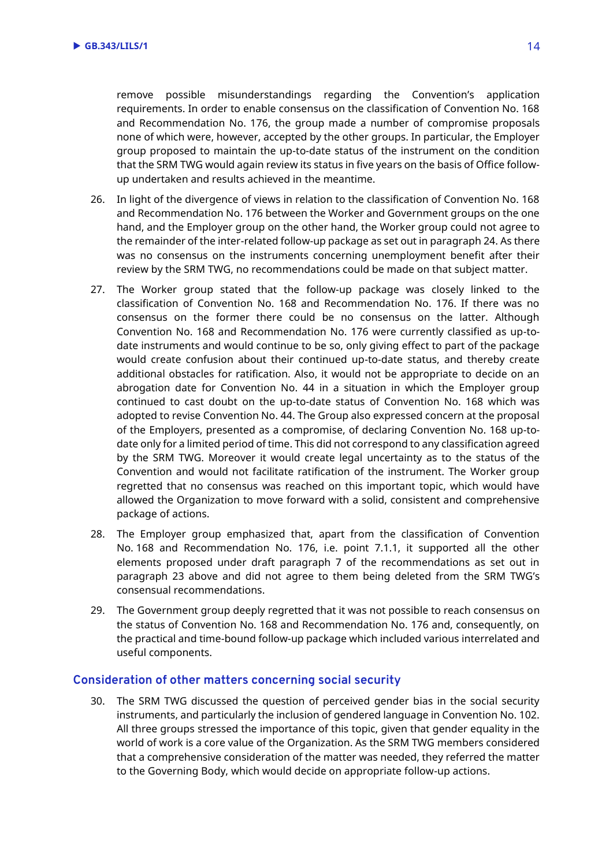remove possible misunderstandings regarding the Convention's application requirements. In order to enable consensus on the classification of Convention No. 168 and Recommendation No. 176, the group made a number of compromise proposals none of which were, however, accepted by the other groups. In particular, the Employer group proposed to maintain the up-to-date status of the instrument on the condition that the SRM TWG would again review its status in five years on the basis of Office followup undertaken and results achieved in the meantime.

- 26. In light of the divergence of views in relation to the classification of Convention No. 168 and Recommendation No. 176 between the Worker and Government groups on the one hand, and the Employer group on the other hand, the Worker group could not agree to the remainder of the inter-related follow-up package as set out in paragraph 24. As there was no consensus on the instruments concerning unemployment benefit after their review by the SRM TWG, no recommendations could be made on that subject matter.
- 27. The Worker group stated that the follow-up package was closely linked to the classification of Convention No. 168 and Recommendation No. 176. If there was no consensus on the former there could be no consensus on the latter. Although Convention No. 168 and Recommendation No. 176 were currently classified as up-todate instruments and would continue to be so, only giving effect to part of the package would create confusion about their continued up-to-date status, and thereby create additional obstacles for ratification. Also, it would not be appropriate to decide on an abrogation date for Convention No. 44 in a situation in which the Employer group continued to cast doubt on the up-to-date status of Convention No. 168 which was adopted to revise Convention No. 44. The Group also expressed concern at the proposal of the Employers, presented as a compromise, of declaring Convention No. 168 up-todate only for a limited period of time. This did not correspond to any classification agreed by the SRM TWG. Moreover it would create legal uncertainty as to the status of the Convention and would not facilitate ratification of the instrument. The Worker group regretted that no consensus was reached on this important topic, which would have allowed the Organization to move forward with a solid, consistent and comprehensive package of actions.
- 28. The Employer group emphasized that, apart from the classification of Convention No. 168 and Recommendation No. 176, i.e. point 7.1.1, it supported all the other elements proposed under draft paragraph 7 of the recommendations as set out in paragraph 23 above and did not agree to them being deleted from the SRM TWG's consensual recommendations.
- 29. The Government group deeply regretted that it was not possible to reach consensus on the status of Convention No. 168 and Recommendation No. 176 and, consequently, on the practical and time-bound follow-up package which included various interrelated and useful components.

#### **Consideration of other matters concerning social security**

30. The SRM TWG discussed the question of perceived gender bias in the social security instruments, and particularly the inclusion of gendered language in Convention No. 102. All three groups stressed the importance of this topic, given that gender equality in the world of work is a core value of the Organization. As the SRM TWG members considered that a comprehensive consideration of the matter was needed, they referred the matter to the Governing Body, which would decide on appropriate follow-up actions.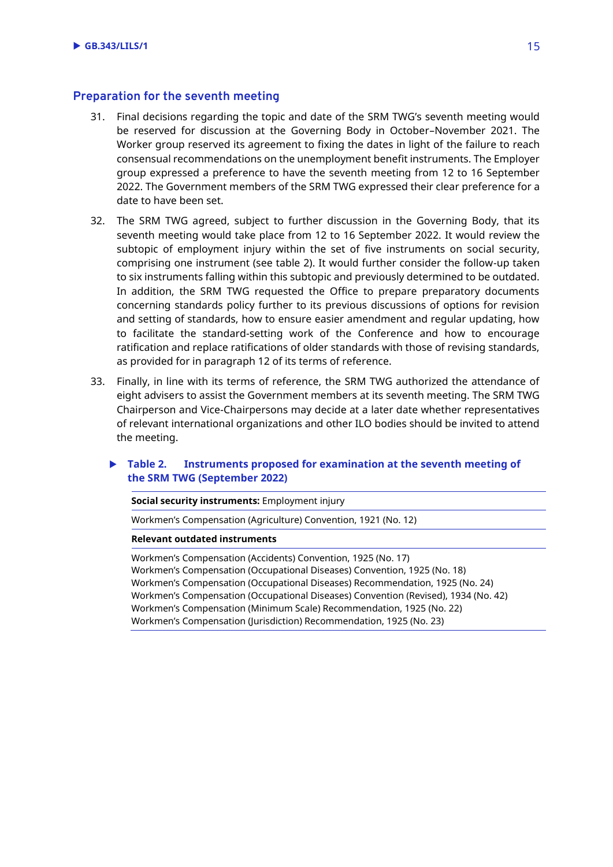#### **Preparation for the seventh meeting**

- 31. Final decisions regarding the topic and date of the SRM TWG's seventh meeting would be reserved for discussion at the Governing Body in October–November 2021. The Worker group reserved its agreement to fixing the dates in light of the failure to reach consensual recommendations on the unemployment benefit instruments. The Employer group expressed a preference to have the seventh meeting from 12 to 16 September 2022. The Government members of the SRM TWG expressed their clear preference for a date to have been set.
- 32. The SRM TWG agreed, subject to further discussion in the Governing Body, that its seventh meeting would take place from 12 to 16 September 2022. It would review the subtopic of employment injury within the set of five instruments on social security, comprising one instrument (see table 2). It would further consider the follow-up taken to six instruments falling within this subtopic and previously determined to be outdated. In addition, the SRM TWG requested the Office to prepare preparatory documents concerning standards policy further to its previous discussions of options for revision and setting of standards, how to ensure easier amendment and regular updating, how to facilitate the standard-setting work of the Conference and how to encourage ratification and replace ratifications of older standards with those of revising standards, as provided for in paragraph 12 of its terms of reference.
- 33. Finally, in line with its terms of reference, the SRM TWG authorized the attendance of eight advisers to assist the Government members at its seventh meeting. The SRM TWG Chairperson and Vice-Chairpersons may decide at a later date whether representatives of relevant international organizations and other ILO bodies should be invited to attend the meeting.

#### **Table 2. Instruments proposed for examination at the seventh meeting of the SRM TWG (September 2022)**

**Social security instruments:** Employment injury

Workmen's Compensation (Agriculture) Convention, 1921 (No. 12)

**Relevant outdated instruments**

Workmen's Compensation (Accidents) Convention, 1925 (No. 17) Workmen's Compensation (Occupational Diseases) Convention, 1925 (No. 18) Workmen's Compensation (Occupational Diseases) Recommendation, 1925 (No. 24) Workmen's Compensation (Occupational Diseases) Convention (Revised), 1934 (No. 42) Workmen's Compensation (Minimum Scale) Recommendation, 1925 (No. 22) Workmen's Compensation (Jurisdiction) Recommendation, 1925 (No. 23)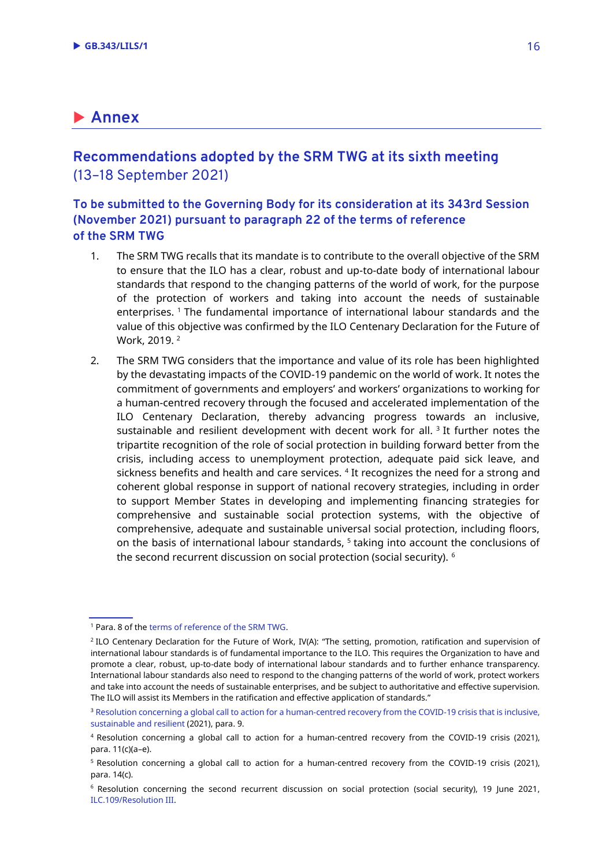## **Annex**

### **Recommendations adopted by the SRM TWG at its sixth meeting** (13–18 September 2021)

#### **To be submitted to the Governing Body for its consideration at its 343rd Session (November 2021) pursuant to paragraph 22 of the terms of reference of the SRM TWG**

- 1. The SRM TWG recalls that its mandate is to contribute to the overall objective of the SRM to ensure that the ILO has a clear, robust and up-to-date body of international labour standards that respond to the changing patterns of the world of work, for the purpose of the protection of workers and taking into account the needs of sustainable enterprises. <sup>1</sup> The fundamental importance of international labour standards and the value of this objective was confirmed by the ILO Centenary Declaration for the Future of Work, 2019. <sup>2</sup>
- 2. The SRM TWG considers that the importance and value of its role has been highlighted by the devastating impacts of the COVID-19 pandemic on the world of work. It notes the commitment of governments and employers' and workers' organizations to working for a human-centred recovery through the focused and accelerated implementation of the ILO Centenary Declaration, thereby advancing progress towards an inclusive, sustainable and resilient development with decent work for all.  ${}^{3}$  It further notes the tripartite recognition of the role of social protection in building forward better from the crisis, including access to unemployment protection, adequate paid sick leave, and sickness benefits and health and care services. <sup>4</sup> It recognizes the need for a strong and coherent global response in support of national recovery strategies, including in order to support Member States in developing and implementing financing strategies for comprehensive and sustainable social protection systems, with the objective of comprehensive, adequate and sustainable universal social protection, including floors, on the basis of international labour standards, <sup>5</sup> taking into account the conclusions of the second recurrent discussion on social protection (social security). <sup>6</sup>

<sup>1</sup> Para. 8 of th[e terms of reference of the SRM TWG.](https://www.ilo.org/wcmsp5/groups/public/---ed_norm/---relconf/documents/meetingdocument/wcms_420260.pdf)

<sup>2</sup> ILO Centenary Declaration for the Future of Work, IV(A): "The setting, promotion, ratification and supervision of international labour standards is of fundamental importance to the ILO. This requires the Organization to have and promote a clear, robust, up-to-date body of international labour standards and to further enhance transparency. International labour standards also need to respond to the changing patterns of the world of work, protect workers and take into account the needs of sustainable enterprises, and be subject to authoritative and effective supervision. The ILO will assist its Members in the ratification and effective application of standards."

<sup>&</sup>lt;sup>3</sup> Resolution concerning a global call to action for a human-centred recovery from the COVID-19 crisis that is inclusive, [sustainable and resilient](https://www.ilo.org/wcmsp5/groups/public/---ed_norm/---relconf/documents/meetingdocument/wcms_806092.pdf) (2021), para. 9.

<sup>4</sup> Resolution concerning a global call to action for a human-centred recovery from the COVID-19 crisis (2021), para. 11(c)(a–e).

<sup>5</sup> Resolution concerning a global call to action for a human-centred recovery from the COVID-19 crisis (2021), para. 14(c).

<sup>6</sup> Resolution concerning the second recurrent discussion on social protection (social security), 19 June 2021, [ILC.109/Resolution III.](https://www.ilo.org/wcmsp5/groups/public/---ed_norm/---relconf/documents/meetingdocument/wcms_806099.pdf)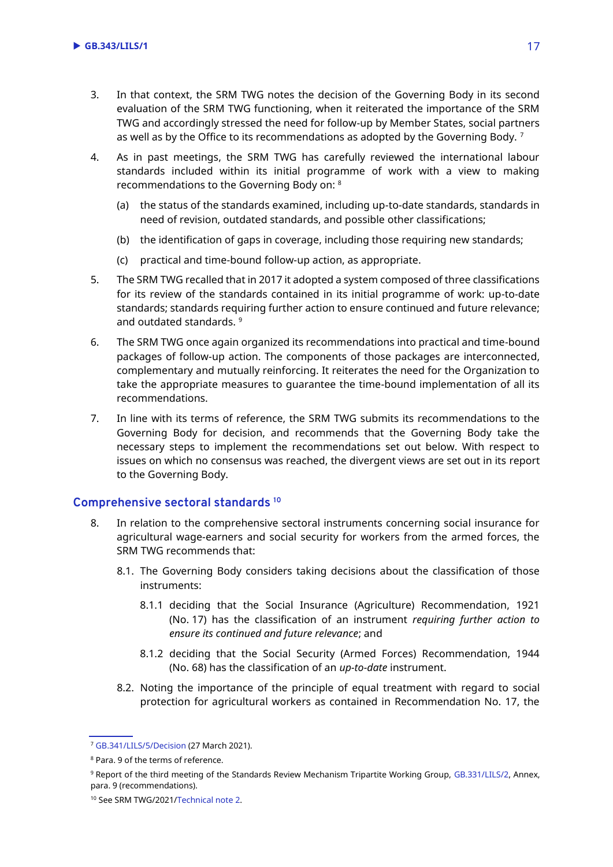- 3. In that context, the SRM TWG notes the decision of the Governing Body in its second evaluation of the SRM TWG functioning, when it reiterated the importance of the SRM TWG and accordingly stressed the need for follow-up by Member States, social partners as well as by the Office to its recommendations as adopted by the Governing Body.<sup>7</sup>
- 4. As in past meetings, the SRM TWG has carefully reviewed the international labour standards included within its initial programme of work with a view to making recommendations to the Governing Body on: <sup>8</sup>
	- (a) the status of the standards examined, including up-to-date standards, standards in need of revision, outdated standards, and possible other classifications;
	- (b) the identification of gaps in coverage, including those requiring new standards;
	- (c) practical and time-bound follow-up action, as appropriate.
- 5. The SRM TWG recalled that in 2017 it adopted a system composed of three classifications for its review of the standards contained in its initial programme of work: up-to-date standards; standards requiring further action to ensure continued and future relevance; and outdated standards. 9
- 6. The SRM TWG once again organized its recommendations into practical and time-bound packages of follow-up action. The components of those packages are interconnected, complementary and mutually reinforcing. It reiterates the need for the Organization to take the appropriate measures to guarantee the time-bound implementation of all its recommendations.
- 7. In line with its terms of reference, the SRM TWG submits its recommendations to the Governing Body for decision, and recommends that the Governing Body take the necessary steps to implement the recommendations set out below. With respect to issues on which no consensus was reached, the divergent views are set out in its report to the Governing Body.

#### **Comprehensive sectoral standards <sup>10</sup>**

- 8. In relation to the comprehensive sectoral instruments concerning social insurance for agricultural wage-earners and social security for workers from the armed forces, the SRM TWG recommends that:
	- 8.1. The Governing Body considers taking decisions about the classification of those instruments:
		- 8.1.1 deciding that the Social Insurance (Agriculture) Recommendation, 1921 (No. 17) has the classification of an instrument *requiring further action to ensure its continued and future relevance*; and
		- 8.1.2 deciding that the Social Security (Armed Forces) Recommendation, 1944 (No. 68) has the classification of an *up-to-date* instrument.
	- 8.2. Noting the importance of the principle of equal treatment with regard to social protection for agricultural workers as contained in Recommendation No. 17, the

<sup>9</sup> Report of the third meeting of the Standards Review Mechanism Tripartite Working Group, [GB.331/LILS/2,](https://www.ilo.org/wcmsp5/groups/public/---ed_norm/---relconf/documents/meetingdocument/wcms_587514.pdf) Annex, para. 9 (recommendations).

<sup>7</sup> [GB.341/LILS/5/Decision](https://www.ilo.org/gb/GBSessions/GB341/lils/WCMS_776842/lang--en/index.htm) (27 March 2021).

<sup>8</sup> Para. 9 of the terms of reference.

<sup>10</sup> See SRM TWG/2021[/Technical note](https://www.ilo.org/wcmsp5/groups/public/---ed_norm/---normes/documents/genericdocument/wcms_815987.pdf) 2.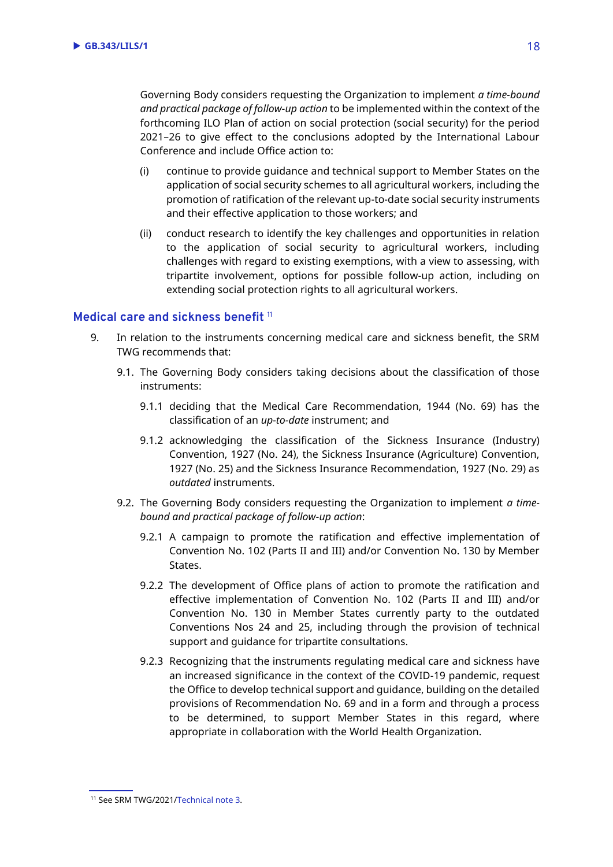Governing Body considers requesting the Organization to implement *a time-bound and practical package of follow-up action* to be implemented within the context of the forthcoming ILO Plan of action on social protection (social security) for the period 2021–26 to give effect to the conclusions adopted by the International Labour Conference and include Office action to:

- (i) continue to provide guidance and technical support to Member States on the application of social security schemes to all agricultural workers, including the promotion of ratification of the relevant up-to-date social security instruments and their effective application to those workers; and
- (ii) conduct research to identify the key challenges and opportunities in relation to the application of social security to agricultural workers, including challenges with regard to existing exemptions, with a view to assessing, with tripartite involvement, options for possible follow-up action, including on extending social protection rights to all agricultural workers.

#### **Medical care and sickness benefit** <sup>11</sup>

- 9. In relation to the instruments concerning medical care and sickness benefit, the SRM TWG recommends that:
	- 9.1. The Governing Body considers taking decisions about the classification of those instruments:
		- 9.1.1 deciding that the Medical Care Recommendation, 1944 (No. 69) has the classification of an *up-to-date* instrument; and
		- 9.1.2 acknowledging the classification of the Sickness Insurance (Industry) Convention, 1927 (No. 24), the Sickness Insurance (Agriculture) Convention, 1927 (No. 25) and the Sickness Insurance Recommendation, 1927 (No. 29) as *outdated* instruments.
	- 9.2. The Governing Body considers requesting the Organization to implement *a timebound and practical package of follow-up action*:
		- 9.2.1 A campaign to promote the ratification and effective implementation of Convention No. 102 (Parts II and III) and/or Convention No. 130 by Member States.
		- 9.2.2 The development of Office plans of action to promote the ratification and effective implementation of Convention No. 102 (Parts II and III) and/or Convention No. 130 in Member States currently party to the outdated Conventions Nos 24 and 25, including through the provision of technical support and guidance for tripartite consultations.
		- 9.2.3 Recognizing that the instruments regulating medical care and sickness have an increased significance in the context of the COVID-19 pandemic, request the Office to develop technical support and guidance, building on the detailed provisions of Recommendation No. 69 and in a form and through a process to be determined, to support Member States in this regard, where appropriate in collaboration with the World Health Organization.

<sup>11</sup> See SRM TWG/2021[/Technical note](https://www.ilo.org/wcmsp5/groups/public/---ed_norm/---normes/documents/genericdocument/wcms_815988.pdf) 3.